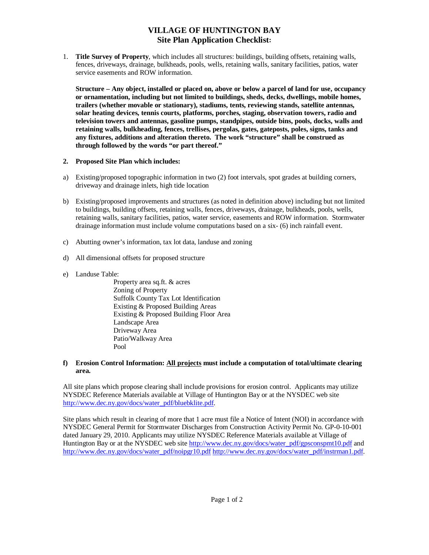# **VILLAGE OF HUNTINGTON BAY Site Plan Application Checklist:**

1. **Title Survey of Property**, which includes all structures: buildings, building offsets, retaining walls, fences, driveways, drainage, bulkheads, pools, wells, retaining walls, sanitary facilities, patios, water service easements and ROW information.

**Structure – Any object, installed or placed on, above or below a parcel of land for use, occupancy or ornamentation, including but not limited to buildings, sheds, decks, dwellings, mobile homes, trailers (whether movable or stationary), stadiums, tents, reviewing stands, satellite antennas, solar heating devices, tennis courts, platforms, porches, staging, observation towers, radio and television towers and antennas, gasoline pumps, standpipes, outside bins, pools, docks, walls and retaining walls, bulkheading, fences, trellises, pergolas, gates, gateposts, poles, signs, tanks and any fixtures, additions and alteration thereto. The work "structure" shall be construed as through followed by the words "or part thereof."** 

# **2. Proposed Site Plan which includes:**

- a) Existing/proposed topographic information in two (2) foot intervals, spot grades at building corners, driveway and drainage inlets, high tide location
- b) Existing/proposed improvements and structures (as noted in definition above) including but not limited to buildings, building offsets, retaining walls, fences, driveways, drainage, bulkheads, pools, wells, retaining walls, sanitary facilities, patios, water service, easements and ROW information. Stormwater drainage information must include volume computations based on a six- (6) inch rainfall event.
- c) Abutting owner's information, tax lot data, landuse and zoning
- d) All dimensional offsets for proposed structure
- e) Landuse Table:

 Property area sq.ft. & acres Zoning of Property Suffolk County Tax Lot Identification Existing & Proposed Building Areas Existing & Proposed Building Floor Area Landscape Area Driveway Area Patio/Walkway Area Pool

# **f) Erosion Control Information: All projects must include a computation of total/ultimate clearing area.**

All site plans which propose clearing shall include provisions for erosion control. Applicants may utilize NYSDEC Reference Materials available at Village of Huntington Bay or at the NYSDEC web site [http://www.dec.ny.gov/docs/water\\_pdf/bluebklite.pdf.](http://www.dec.ny.gov/docs/water_pdf/bluebklite.pdf) 

Site plans which result in clearing of more that 1 acre must file a Notice of Intent (NOI) in accordance with NYSDEC General Permit for Stormwater Discharges from Construction Activity Permit No. GP-0-10-001 dated January 29, 2010. Applicants may utilize NYSDEC Reference Materials available at Village of Huntington Bay or at the NYSDEC web site [http://www.dec.ny.gov/docs/water\\_pdf/gpsconspmt10.pdf a](http://www.dec.ny.gov/docs/water_pdf/gpsconspmt10.pdf)nd http://www.dec.ny.gov/docs/water\_pdf/noipgr10.pdf [http://www.dec.ny.gov/docs/water\\_pdf/instrman1.pdf.](http://www.dec.ny.gov/docs/water_pdf/noipgr10.pdf)